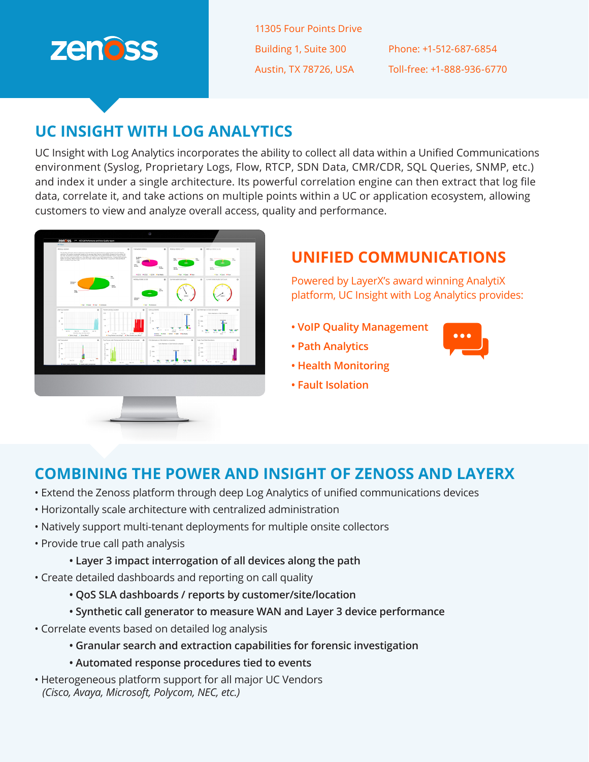

11305 Four Points Drive Building 1, Suite 300 Austin, TX 78726, USA

Phone: +1-512-687-6854 Toll-free: +1-888-936-6770

## **UC INSIGHT WITH LOG ANALYTICS**

UC Insight with Log Analytics incorporates the ability to collect all data within a Unified Communications environment (Syslog, Proprietary Logs, Flow, RTCP, SDN Data, CMR/CDR, SQL Queries, SNMP, etc.) and index it under a single architecture. Its powerful correlation engine can then extract that log file data, correlate it, and take actions on multiple points within a UC or application ecosystem, allowing customers to view and analyze overall access, quality and performance.



# **UNIFIED COMMUNICATIONS**

Powered by LayerX's award winning AnalytiX platform, UC Insight with Log Analytics provides:

- **VoIP Quality Management**
- **Path Analytics**
- **Health Monitoring**
- **Fault Isolation**

## **COMBINING THE POWER AND INSIGHT OF ZENOSS AND LAYERX**

- Extend the Zenoss platform through deep Log Analytics of unified communications devices
- Horizontally scale architecture with centralized administration
- Natively support multi-tenant deployments for multiple onsite collectors
- Provide true call path analysis
	- **Layer 3 impact interrogation of all devices along the path**
- Create detailed dashboards and reporting on call quality
	- **QoS SLA dashboards / reports by customer/site/location**
	- **Synthetic call generator to measure WAN and Layer 3 device performance**
- Correlate events based on detailed log analysis
	- **Granular search and extraction capabilities for forensic investigation**
	- **Automated response procedures tied to events**
- Heterogeneous platform support for all major UC Vendors *(Cisco, Avaya, Microsoft, Polycom, NEC, etc.)*